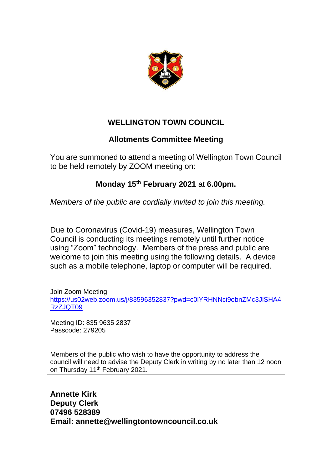

## **WELLINGTON TOWN COUNCIL**

## **Allotments Committee Meeting**

You are summoned to attend a meeting of Wellington Town Council to be held remotely by ZOOM meeting on:

## **Monday 15th February 2021** at **6.00pm.**

*Members of the public are cordially invited to join this meeting.*

Due to Coronavirus (Covid-19) measures, Wellington Town Council is conducting its meetings remotely until further notice using "Zoom" technology. Members of the press and public are welcome to join this meeting using the following details. A device such as a mobile telephone, laptop or computer will be required.

Join Zoom Meeting [https://us02web.zoom.us/j/83596352837?pwd=c0lYRHNNci9obnZMc3JlSHA4](https://us02web.zoom.us/j/83596352837?pwd=c0lYRHNNci9obnZMc3JlSHA4RzZJQT09) [RzZJQT09](https://us02web.zoom.us/j/83596352837?pwd=c0lYRHNNci9obnZMc3JlSHA4RzZJQT09)

Meeting ID: 835 9635 2837 Passcode: 279205

Members of the public who wish to have the opportunity to address the council will need to advise the Deputy Clerk in writing by no later than 12 noon on Thursday 11<sup>th</sup> February 2021.

**Annette Kirk Deputy Clerk 07496 528389 Email: annette@wellingtontowncouncil.co.uk**